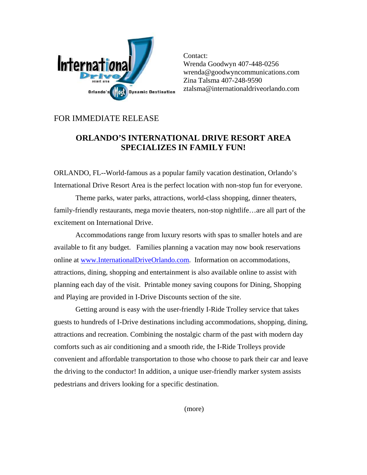

Contact: Wrenda Goodwyn 407-448-0256 wrenda@goodwyncommunications.com Zina Talsma 407-248-9590 ztalsma@internationaldriveorlando.com

## FOR IMMEDIATE RELEASE

## **ORLANDO'S INTERNATIONAL DRIVE RESORT AREA SPECIALIZES IN FAMILY FUN!**

ORLANDO, FL--World-famous as a popular family vacation destination, Orlando's International Drive Resort Area is the perfect location with non-stop fun for everyone.

Theme parks, water parks, attractions, world-class shopping, dinner theaters, family-friendly restaurants, mega movie theaters, non-stop nightlife…are all part of the excitement on International Drive.

Accommodations range from luxury resorts with spas to smaller hotels and are available to fit any budget. Families planning a vacation may now book reservations online at [www.InternationalDriveOrlando.com.](http://www.internationaldriveorlando.com/) Information on accommodations, attractions, dining, shopping and entertainment is also available online to assist with planning each day of the visit. Printable money saving coupons for Dining, Shopping and Playing are provided in I-Drive Discounts section of the site.

Getting around is easy with the user-friendly I-Ride Trolley service that takes guests to hundreds of I-Drive destinations including accommodations, shopping, dining, attractions and recreation. Combining the nostalgic charm of the past with modern day comforts such as air conditioning and a smooth ride, the I-Ride Trolleys provide convenient and affordable transportation to those who choose to park their car and leave the driving to the conductor! In addition, a unique user-friendly marker system assists pedestrians and drivers looking for a specific destination.

(more)